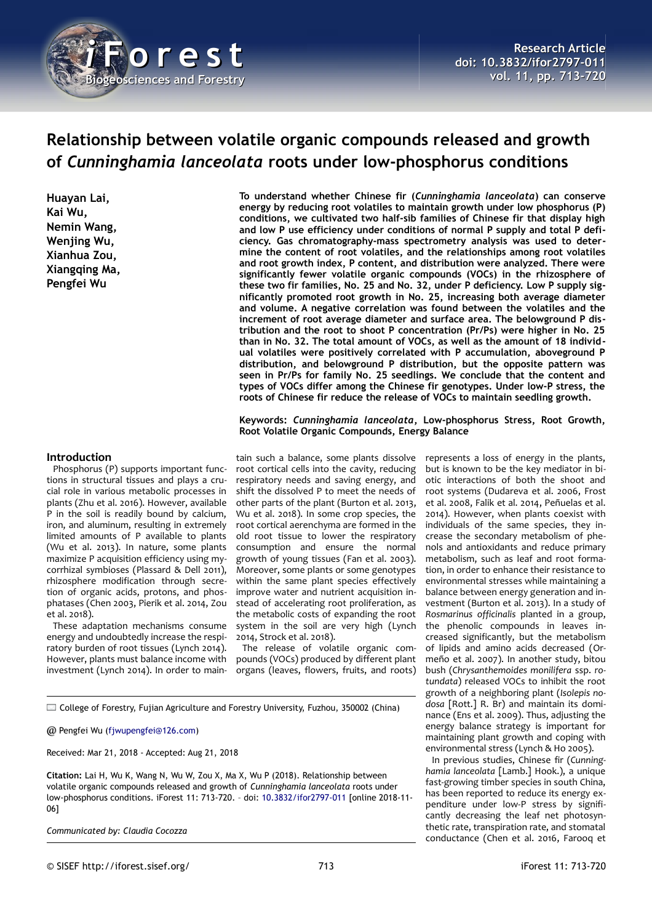

# **Relationship between volatile organic compounds released and growth of** *Cunninghamia lanceolata* **roots under low-phosphorus conditions**

**Huayan Lai, Kai Wu, Nemin Wang, Wenjing Wu, Xianhua Zou, Xiangqing Ma, Pengfei Wu**

**To understand whether Chinese fir (***Cunninghamia lanceolata***) can conserve energy by reducing root volatiles to maintain growth under low phosphorus (P) conditions, we cultivated two half-sib families of Chinese fir that display high and low P use efficiency under conditions of normal P supply and total P deficiency. Gas chromatography-mass spectrometry analysis was used to determine the content of root volatiles, and the relationships among root volatiles and root growth index, P content, and distribution were analyzed. There were significantly fewer volatile organic compounds (VOCs) in the rhizosphere of these two fir families, No. 25 and No. 32, under P deficiency. Low P supply significantly promoted root growth in No. 25, increasing both average diameter and volume. A negative correlation was found between the volatiles and the increment of root average diameter and surface area. The belowground P distribution and the root to shoot P concentration (Pr/Ps) were higher in No. 25 than in No. 32. The total amount of VOCs, as well as the amount of 18 individual volatiles were positively correlated with P accumulation, aboveground P distribution, and belowground P distribution, but the opposite pattern was seen in Pr/Ps for family No. 25 seedlings. We conclude that the content and types of VOCs differ among the Chinese fir genotypes. Under low-P stress, the roots of Chinese fir reduce the release of VOCs to maintain seedling growth.**

**Keywords:** *Cunninghamia lanceolata***, Low-phosphorus Stress, Root Growth, Root Volatile Organic Compounds, Energy Balance**

#### **Introduction**

Phosphorus (P) supports important functions in structural tissues and plays a crucial role in various metabolic processes in plants (Zhu et al. 2016). However, available P in the soil is readily bound by calcium, iron, and aluminum, resulting in extremely limited amounts of P available to plants (Wu et al. 2013). In nature, some plants maximize P acquisition efficiency using mycorrhizal symbioses (Plassard & Dell 2011), rhizosphere modification through secretion of organic acids, protons, and phosphatases (Chen 2003, Pierik et al. 2014, Zou et al. 2018).

These adaptation mechanisms consume energy and undoubtedly increase the respiratory burden of root tissues (Lynch 2014). However, plants must balance income with investment (Lynch 2014). In order to main-

tain such a balance, some plants dissolve root cortical cells into the cavity, reducing respiratory needs and saving energy, and shift the dissolved P to meet the needs of other parts of the plant (Burton et al. 2013, Wu et al. 2018). In some crop species, the root cortical aerenchyma are formed in the old root tissue to lower the respiratory consumption and ensure the normal growth of young tissues (Fan et al. 2003). Moreover, some plants or some genotypes within the same plant species effectively improve water and nutrient acquisition instead of accelerating root proliferation, as the metabolic costs of expanding the root system in the soil are very high (Lynch 2014, Strock et al. 2018).

The release of volatile organic compounds (VOCs) produced by different plant organs (leaves, flowers, fruits, and roots)

College of Forestry, Fujian Agriculture and Forestry University, Fuzhou, 350002 (China)

@ Pengfei Wu [\(fjwupengfei@126.com\)](mailto:fjwupengfei@126.com)

Received: Mar 21, 2018 - Accepted: Aug 21, 2018

**Citation:** Lai H, Wu K, Wang N, Wu W, Zou X, Ma X, Wu P (2018). Relationship between volatile organic compounds released and growth of *Cunninghamia lanceolata* roots under low-phosphorus conditions. iForest 11: 713-720. – doi: [10.3832/ifor2797-011](http://www.sisef.it/iforest/contents/?id=ifor2797-011) [online 2018-11- 06]

*Communicated by: Claudia Cocozza*

represents a loss of energy in the plants, but is known to be the key mediator in biotic interactions of both the shoot and root systems (Dudareva et al. 2006, Frost et al. 2008, Falik et al. 2014, Peñuelas et al. 2014). However, when plants coexist with individuals of the same species, they increase the secondary metabolism of phenols and antioxidants and reduce primary metabolism, such as leaf and root formation, in order to enhance their resistance to environmental stresses while maintaining a balance between energy generation and investment (Burton et al. 2013). In a study of *Rosmarinus officinalis* planted in a group, the phenolic compounds in leaves increased significantly, but the metabolism of lipids and amino acids decreased (Ormeño et al. 2007). In another study, bitou bush (*Chrysanthemoides monilifera* ssp. *rotundata*) released VOCs to inhibit the root growth of a neighboring plant (*Isolepis nodosa* [Rott.] R. Br) and maintain its dominance (Ens et al. 2009). Thus, adjusting the

> maintaining plant growth and coping with environmental stress (Lynch & Ho 2005). In previous studies, Chinese fir (*Cunninghamia lanceolata* [Lamb.] Hook.), a unique fast-growing timber species in south China, has been reported to reduce its energy expenditure under low-P stress by significantly decreasing the leaf net photosynthetic rate, transpiration rate, and stomatal conductance (Chen et al. 2016, Farooq et

> energy balance strategy is important for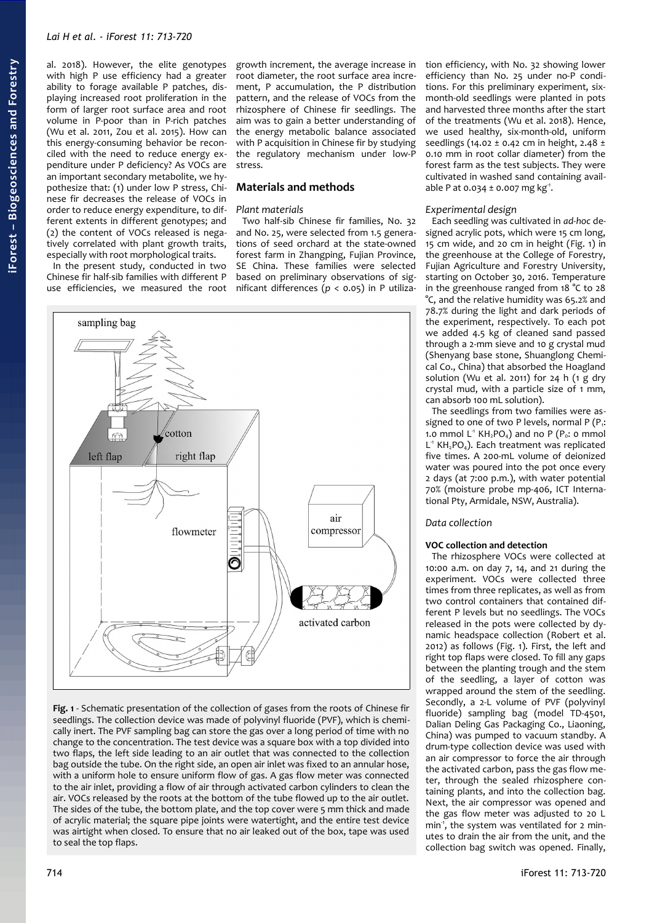# *Lai H et al. - iForest 11: 713-720*

al. 2018). However, the elite genotypes with high P use efficiency had a greater ability to forage available P patches, displaying increased root proliferation in the form of larger root surface area and root volume in P-poor than in P-rich patches (Wu et al. 2011, Zou et al. 2015). How can this energy-consuming behavior be reconciled with the need to reduce energy expenditure under P deficiency? As VOCs are an important secondary metabolite, we hypothesize that: (1) under low P stress, Chinese fir decreases the release of VOCs in order to reduce energy expenditure, to different extents in different genotypes; and (2) the content of VOCs released is negatively correlated with plant growth traits, especially with root morphological traits.

In the present study, conducted in two Chinese fir half-sib families with different P use efficiencies, we measured the root growth increment, the average increase in root diameter, the root surface area increment, P accumulation, the P distribution pattern, and the release of VOCs from the rhizosphere of Chinese fir seedlings. The aim was to gain a better understanding of the energy metabolic balance associated with P acquisition in Chinese fir by studying the regulatory mechanism under low-P stress.

# **Materials and methods**

## *Plant materials*

Two half-sib Chinese fir families, No. 32 and No. 25, were selected from 1.5 generations of seed orchard at the state-owned forest farm in Zhangping, Fujian Province, SE China. These families were selected based on preliminary observations of significant differences (*p* < 0.05) in P utiliza-



<span id="page-1-0"></span>**Fig. 1** - Schematic presentation of the collection of gases from the roots of Chinese fir seedlings. The collection device was made of polyvinyl fluoride (PVF), which is chemically inert. The PVF sampling bag can store the gas over a long period of time with no change to the concentration. The test device was a square box with a top divided into two flaps, the left side leading to an air outlet that was connected to the collection bag outside the tube. On the right side, an open air inlet was fixed to an annular hose, with a uniform hole to ensure uniform flow of gas. A gas flow meter was connected to the air inlet, providing a flow of air through activated carbon cylinders to clean the air. VOCs released by the roots at the bottom of the tube flowed up to the air outlet. The sides of the tube, the bottom plate, and the top cover were 5 mm thick and made of acrylic material; the square pipe joints were watertight, and the entire test device was airtight when closed. To ensure that no air leaked out of the box, tape was used to seal the top flaps.

tion efficiency, with No. 32 showing lower efficiency than No. 25 under no-P conditions. For this preliminary experiment, sixmonth-old seedlings were planted in pots and harvested three months after the start of the treatments (Wu et al. 2018). Hence, we used healthy, six-month-old, uniform seedlings (14.02 ± 0.42 cm in height, 2.48 ± 0.10 mm in root collar diameter) from the forest farm as the test subjects. They were cultivated in washed sand containing available P at  $0.034 \pm 0.007$  mg kg<sup>-1</sup>.

#### *Experimental design*

Each seedling was cultivated in *ad-hoc* designed acrylic pots, which were 15 cm long, 15 cm wide, and 20 cm in height [\(Fig. 1\)](#page-1-0) in the greenhouse at the College of Forestry, Fujian Agriculture and Forestry University, starting on October 30, 2016. Temperature in the greenhouse ranged from 18 °C to 28 °C, and the relative humidity was 65.2% and 78.7% during the light and dark periods of the experiment, respectively. To each pot we added 4.5 kg of cleaned sand passed through a 2-mm sieve and 10 g crystal mud (Shenyang base stone, Shuanglong Chemical Co., China) that absorbed the Hoagland solution (Wu et al. 2011) for 24 h (1 g dry crystal mud, with a particle size of 1 mm, can absorb 100 mL solution).

The seedlings from two families were assigned to one of two P levels, normal P ( $P_i$ : 1.0 mmol  $L^1$  KH<sub>2</sub>PO<sub>4</sub>) and no P (P<sub>0</sub>: 0 mmol L<sup>1</sup> KH<sub>2</sub>PO<sub>4</sub>). Each treatment was replicated five times. A 200-mL volume of deionized water was poured into the pot once every 2 days (at 7:00 p.m.), with water potential 70% (moisture probe mp-406, ICT International Pty, Armidale, NSW, Australia).

## *Data collection*

# **VOC collection and detection**

The rhizosphere VOCs were collected at 10:00 a.m. on day 7, 14, and 21 during the experiment. VOCs were collected three times from three replicates, as well as from two control containers that contained different P levels but no seedlings. The VOCs released in the pots were collected by dynamic headspace collection (Robert et al. 2012) as follows [\(Fig. 1\)](#page-1-0). First, the left and right top flaps were closed. To fill any gaps between the planting trough and the stem of the seedling, a layer of cotton was wrapped around the stem of the seedling. Secondly, a 2-L volume of PVF (polyvinyl fluoride) sampling bag (model TD-4501, Dalian Deling Gas Packaging Co., Liaoning, China) was pumped to vacuum standby. A drum-type collection device was used with an air compressor to force the air through the activated carbon, pass the gas flow meter, through the sealed rhizosphere containing plants, and into the collection bag. Next, the air compressor was opened and the gas flow meter was adjusted to 20 L min<sup>1</sup>, the system was ventilated for 2 minutes to drain the air from the unit, and the collection bag switch was opened. Finally,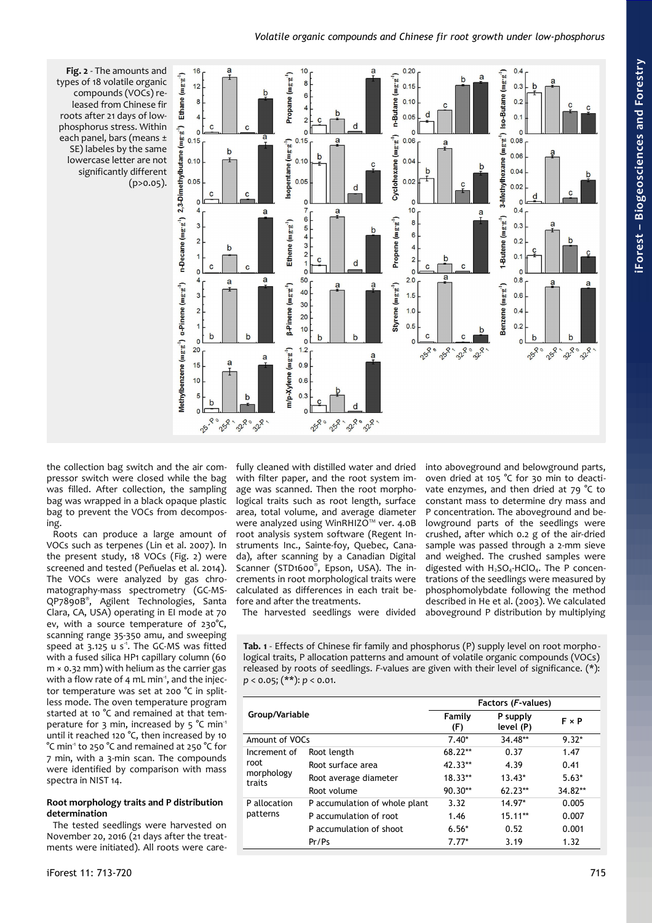

<span id="page-2-0"></span>**Fig. 2** - The amounts and types of 18 volatile organic compounds (VOCs) released from Chinese fir roots after 21 days of lowphosphorus stress. Within each panel, bars (means ± SE) labeles by the same lowercase letter are not significantly different  $(p>0.05)$ .

the collection bag switch and the air compressor switch were closed while the bag was filled. After collection, the sampling bag was wrapped in a black opaque plastic bag to prevent the VOCs from decomposing.

Roots can produce a large amount of VOCs such as terpenes (Lin et al. 2007). In the present study, 18 VOCs [\(Fig. 2\)](#page-2-0) were screened and tested (Peñuelas et al. 2014). The VOCs were analyzed by gas chromatography-mass spectrometry (GC-MS-QP7890B® , Agilent Technologies, Santa Clara, CA, USA) operating in EI mode at 70 ev, with a source temperature of 230°C, scanning range 35-350 amu, and sweeping speed at  $3.125$  u s<sup>1</sup>. The GC-MS was fitted with a fused silica HP1 capillary column (60 m × 0.32 mm) with helium as the carrier gas with a flow rate of 4 mL min<sup>1</sup>, and the injector temperature was set at 200 °C in splitless mode. The oven temperature program started at 10 °C and remained at that temperature for 3 min, increased by 5 °C min<sup>1</sup> until it reached 120 °C, then increased by 10 °C min-1 to 250 °C and remained at 250 °C for 7 min, with a 3-min scan. The compounds were identified by comparison with mass spectra in NIST 14.

# **Root morphology traits and P distribution determination**

The tested seedlings were harvested on November 20, 2016 (21 days after the treatments were initiated). All roots were carefully cleaned with distilled water and dried with filter paper, and the root system image was scanned. Then the root morphological traits such as root length, surface area, total volume, and average diameter were analyzed using WinRHIZO™ ver. 4.0B root analysis system software (Regent Instruments Inc., Sainte-foy, Quebec, Canada), after scanning by a Canadian Digital Scanner (STD1600®, Epson, USA). The increments in root morphological traits were calculated as differences in each trait before and after the treatments.

The harvested seedlings were divided

into aboveground and belowground parts, oven dried at 105 °C for 30 min to deactivate enzymes, and then dried at  $79 °C$  to constant mass to determine dry mass and P concentration. The aboveground and belowground parts of the seedlings were crushed, after which 0.2 g of the air-dried sample was passed through a 2-mm sieve and weighed. The crushed samples were digested with  $H_2SO_4$ -HClO<sub>4</sub>. The P concentrations of the seedlings were measured by phosphomolybdate following the method described in He et al. (2003). We calculated aboveground P distribution by multiplying

<span id="page-2-1"></span>**Tab. 1** - Effects of Chinese fir family and phosphorus (P) supply level on root morphological traits, P allocation patterns and amount of volatile organic compounds (VOCs) released by roots of seedlings. *F*-values are given with their level of significance. (\*): *p* < 0.05; (\*\*): *p* < 0.01.

|                                              |                               | Factors (F-values) |                       |              |  |  |
|----------------------------------------------|-------------------------------|--------------------|-----------------------|--------------|--|--|
| Group/Variable                               |                               | Family<br>(F)      | P supply<br>level (P) | $F \times P$ |  |  |
| Amount of VOCs                               |                               | $7.40*$            | 34.48**               | $9.32*$      |  |  |
| Increment of<br>root<br>morphology<br>traits | Root length                   | $68.22**$          | 0.37                  | 1.47         |  |  |
|                                              | Root surface area             | $42.33**$          | 4.39                  | 0.41         |  |  |
|                                              | Root average diameter         | $18.33**$          | $13.43*$              | $5.63*$      |  |  |
|                                              | Root volume                   | $90.30**$          | $62.23**$             | 34.82**      |  |  |
| P allocation<br>patterns                     | P accumulation of whole plant | 3.32               | 14.97*                | 0.005        |  |  |
|                                              | P accumulation of root        | 1.46               | $15.11**$             | 0.007        |  |  |
|                                              | P accumulation of shoot       | $6.56*$            | 0.52                  | 0.001        |  |  |
|                                              | Pr/Ps                         | $7.77*$            | 3.19                  | 1.32         |  |  |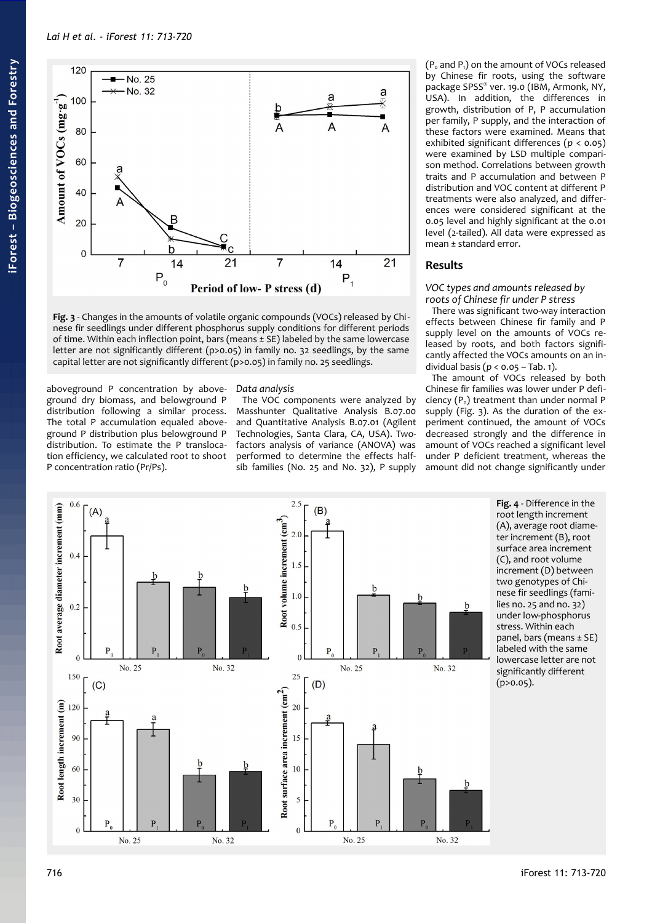

<span id="page-3-0"></span>**Fig. 3** - Changes in the amounts of volatile organic compounds (VOCs) released by Chi nese fir seedlings under different phosphorus supply conditions for different periods of time. Within each inflection point, bars (means ± SE) labeled by the same lowercase letter are not significantly different (p>0.05) in family no. 32 seedlings, by the same capital letter are not significantly different (p>0.05) in family no. 25 seedlings.

aboveground P concentration by aboveground dry biomass, and belowground P distribution following a similar process. The total P accumulation equaled aboveground P distribution plus belowground P distribution. To estimate the P translocation efficiency, we calculated root to shoot P concentration ratio (Pr/Ps).

# *Data analysis*

The VOC components were analyzed by Masshunter Qualitative Analysis B.07.00 and Quantitative Analysis B.07.01 (Agilent Technologies, Santa Clara, CA, USA). Twofactors analysis of variance (ANOVA) was performed to determine the effects halfsib families (No. 25 and No. 32), P supply

 $(P_0$  and  $P_1$ ) on the amount of VOCs released by Chinese fir roots, using the software package SPSS® ver. 19.0 (IBM, Armonk, NY, USA). In addition, the differences in growth, distribution of P, P accumulation per family, P supply, and the interaction of these factors were examined. Means that exhibited significant differences (*p* < 0.05) were examined by LSD multiple comparison method. Correlations between growth traits and P accumulation and between P distribution and VOC content at different P treatments were also analyzed, and differences were considered significant at the 0.05 level and highly significant at the 0.01 level (2-tailed). All data were expressed as mean ± standard error.

# **Results**

# *VOC types and amounts released by roots of Chinese fir under P stress*

There was significant two-way interaction effects between Chinese fir family and P supply level on the amounts of VOCs released by roots, and both factors significantly affected the VOCs amounts on an individual basis (*p* < 0.05 – [Tab. 1\)](#page-2-1).

The amount of VOCs released by both Chinese fir families was lower under P deficiency  $(P_0)$  treatment than under normal P supply [\(Fig. 3\)](#page-3-0). As the duration of the experiment continued, the amount of VOCs decreased strongly and the difference in amount of VOCs reached a significant level under P deficient treatment, whereas the amount did not change significantly under



<span id="page-3-1"></span>**Fig. 4** - Difference in the root length increment (A), average root diameter increment (B), root surface area increment (C), and root volume increment (D) between two genotypes of Chinese fir seedlings (families no. 25 and no. 32) under low-phosphorus stress. Within each panel, bars (means ± SE) labeled with the same lowercase letter are not significantly different (p>0.05).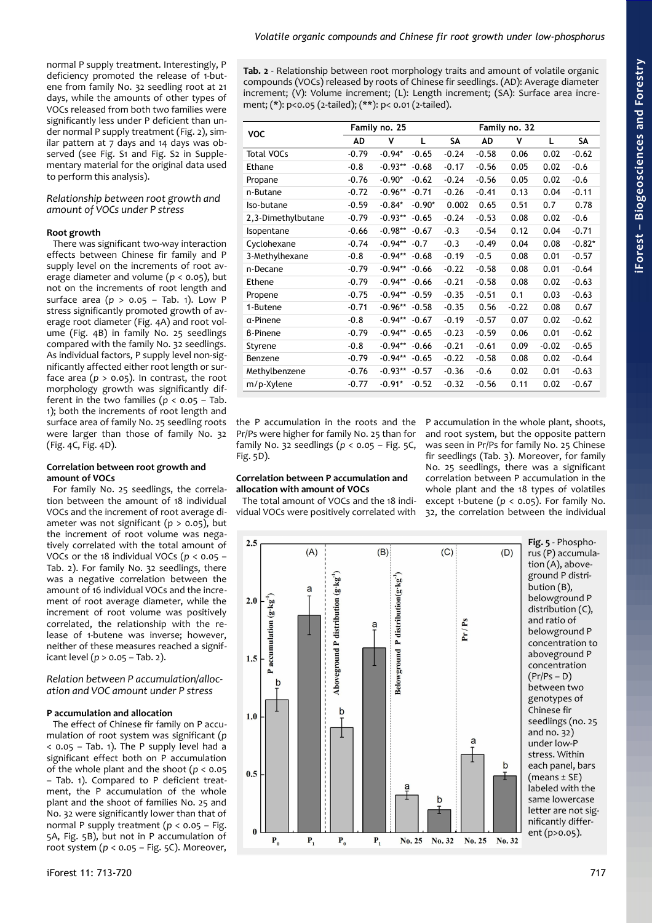normal P supply treatment. Interestingly, P deficiency promoted the release of 1-butene from family No. 32 seedling root at 21 days, while the amounts of other types of VOCs released from both two families were significantly less under P deficient than under normal P supply treatment [\(Fig. 2\)](#page-2-0), similar pattern at 7 days and 14 days was observed (see Fig. S1 and Fig. S2 in Supplementary material for the original data used to perform this analysis).

# *Relationship between root growth and amount of VOCs under P stress*

## **Root growth**

There was significant two-way interaction effects between Chinese fir family and P supply level on the increments of root average diameter and volume ( $p < 0.05$ ), but not on the increments of root length and surface area (*p* > 0.05 – [Tab. 1\)](#page-2-1). Low P stress significantly promoted growth of average root diameter [\(Fig. 4A](#page-3-1)) and root volume [\(Fig. 4B](#page-3-1)) in family No. 25 seedlings compared with the family No. 32 seedlings. As individual factors, P supply level non-significantly affected either root length or surface area  $(p > 0.05)$ . In contrast, the root morphology growth was significantly different in the two families ( $p < 0.05$  – [Tab.](#page-2-1) [1\)](#page-2-1); both the increments of root length and surface area of family No. 25 seedling roots were larger than those of family No. 32 [\(Fig. 4C](#page-3-1), [Fig. 4D](#page-3-1)).

#### **Correlation between root growth and amount of VOCs**

For family No. 25 seedlings, the correlation between the amount of 18 individual VOCs and the increment of root average diameter was not significant (*p* > 0.05), but the increment of root volume was negatively correlated with the total amount of VOCs or the 18 individual VOCs (*p* < 0.05 – [Tab. 2\)](#page-4-1). For family No. 32 seedlings, there was a negative correlation between the amount of 16 individual VOCs and the increment of root average diameter, while the increment of root volume was positively correlated, the relationship with the release of 1-butene was inverse; however, neither of these measures reached a significant level (*p* > 0.05 – [Tab. 2\)](#page-4-1).

## *Relation between P accumulation/allocation and VOC amount under P stress*

### **P accumulation and allocation**

The effect of Chinese fir family on P accumulation of root system was significant (*p* < 0.05 – [Tab. 1\)](#page-2-1). The P supply level had a significant effect both on P accumulation of the whole plant and the shoot (*p* < 0.05 – [Tab. 1\)](#page-2-1). Compared to P deficient treatment, the P accumulation of the whole plant and the shoot of families No. 25 and No. 32 were significantly lower than that of normal P supply treatment (*p* < 0.05 – [Fig.](#page-4-0) [5A](#page-4-0), [Fig. 5B](#page-4-0)), but not in P accumulation of root system (*p* < 0.05 – [Fig. 5C](#page-4-0)). Moreover,

<span id="page-4-1"></span>**Tab. 2** - Relationship between root morphology traits and amount of volatile organic compounds (VOCs) released by roots of Chinese fir seedlings. (AD): Average diameter increment; (V): Volume increment; (L): Length increment; (SA): Surface area increment; (\*): p<0.05 (2-tailed); (\*\*): p< 0.01 (2-tailed).

| <b>VOC</b>         |         | Family no. 25 |          |         |         | Family no. 32 |         |          |
|--------------------|---------|---------------|----------|---------|---------|---------------|---------|----------|
|                    | AD      | v             | L        | SΑ      | AD      | ۷             | L       | SΑ       |
| <b>Total VOCs</b>  | $-0.79$ | $-0.94*$      | $-0.65$  | $-0.24$ | $-0.58$ | 0.06          | 0.02    | $-0.62$  |
| Ethane             | $-0.8$  | $-0.93**$     | $-0.68$  | $-0.17$ | $-0.56$ | 0.05          | 0.02    | $-0.6$   |
| Propane            | $-0.76$ | $-0.90*$      | $-0.62$  | $-0.24$ | $-0.56$ | 0.05          | 0.02    | $-0.6$   |
| n-Butane           | $-0.72$ | $-0.96**$     | $-0.71$  | $-0.26$ | $-0.41$ | 0.13          | 0.04    | $-0.11$  |
| Iso-butane         | $-0.59$ | $-0.84*$      | $-0.90*$ | 0.002   | 0.65    | 0.51          | 0.7     | 0.78     |
| 2,3-Dimethylbutane | $-0.79$ | $-0.93**$     | $-0.65$  | $-0.24$ | $-0.53$ | 0.08          | 0.02    | $-0.6$   |
| Isopentane         | $-0.66$ | $-0.98**$     | $-0.67$  | $-0.3$  | $-0.54$ | 0.12          | 0.04    | $-0.71$  |
| Cyclohexane        | $-0.74$ | $-0.94**$     | $-0.7$   | $-0.3$  | $-0.49$ | 0.04          | 0.08    | $-0.82*$ |
| 3-Methylhexane     | $-0.8$  | $-0.94**$     | $-0.68$  | $-0.19$ | $-0.5$  | 0.08          | 0.01    | $-0.57$  |
| n-Decane           | $-0.79$ | $-0.94**$     | $-0.66$  | $-0.22$ | $-0.58$ | 0.08          | 0.01    | $-0.64$  |
| Ethene             | $-0.79$ | $-0.94**$     | $-0.66$  | $-0.21$ | $-0.58$ | 0.08          | 0.02    | $-0.63$  |
| Propene            | $-0.75$ | $-0.94**$     | $-0.59$  | $-0.35$ | $-0.51$ | 0.1           | 0.03    | $-0.63$  |
| 1-Butene           | $-0.71$ | $-0.96**$     | $-0.58$  | $-0.35$ | 0.56    | $-0.22$       | 0.08    | 0.67     |
| α-Pinene           | $-0.8$  | $-0.94**$     | $-0.67$  | $-0.19$ | $-0.57$ | 0.07          | 0.02    | $-0.62$  |
| <b>B-Pinene</b>    | $-0.79$ | $-0.94**$     | $-0.65$  | $-0.23$ | $-0.59$ | 0.06          | 0.01    | $-0.62$  |
| Styrene            | $-0.8$  | $-0.94**$     | $-0.66$  | $-0.21$ | $-0.61$ | 0.09          | $-0.02$ | $-0.65$  |
| Benzene            | $-0.79$ | $-0.94**$     | $-0.65$  | $-0.22$ | $-0.58$ | 0.08          | 0.02    | $-0.64$  |
| Methylbenzene      | $-0.76$ | $-0.93**$     | $-0.57$  | $-0.36$ | $-0.6$  | 0.02          | 0.01    | $-0.63$  |
| m/p-Xylene         | $-0.77$ | $-0.91*$      | $-0.52$  | $-0.32$ | $-0.56$ | 0.11          | 0.02    | $-0.67$  |

the P accumulation in the roots and the Pr/Ps were higher for family No. 25 than for family No. 32 seedlings (*p* < 0.05 – [Fig. 5C](#page-4-0), [Fig. 5D](#page-4-0)).

## **Correlation between P accumulation and allocation with amount of VOCs**

The total amount of VOCs and the 18 individual VOCs were positively correlated with

<span id="page-4-0"></span>P accumulation in the whole plant, shoots, and root system, but the opposite pattern was seen in Pr/Ps for family No. 25 Chinese fir seedlings [\(Tab. 3\)](#page-5-0). Moreover, for family No. 25 seedlings, there was a significant correlation between P accumulation in the whole plant and the 18 types of volatiles except 1-butene ( $p < 0.05$ ). For family No. 32, the correlation between the individual

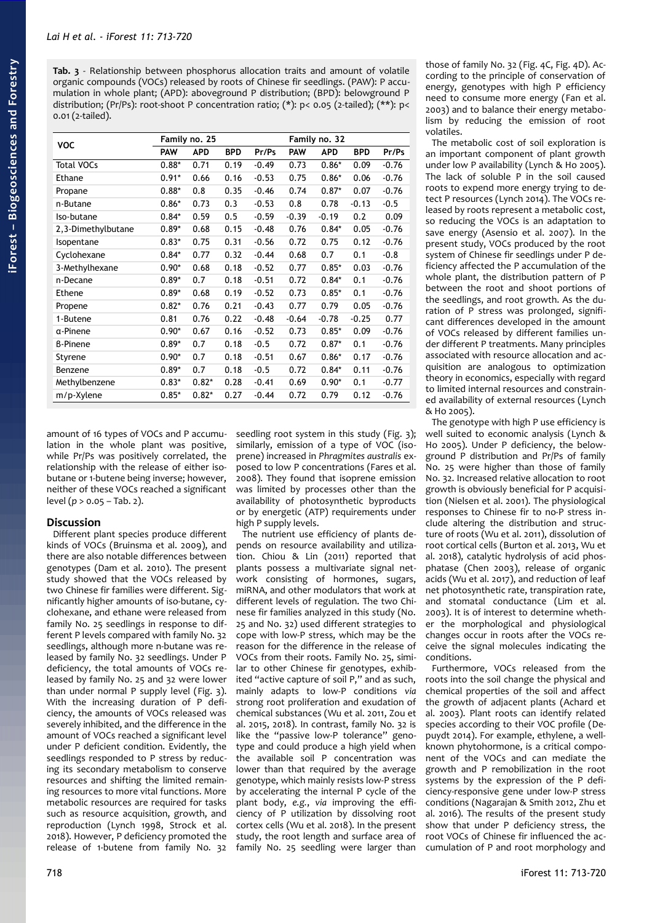<span id="page-5-0"></span>**Tab. 3** - Relationship between phosphorus allocation traits and amount of volatile organic compounds (VOCs) released by roots of Chinese fir seedlings. (PAW): P accumulation in whole plant; (APD): aboveground P distribution; (BPD): belowground P distribution; (Pr/Ps): root-shoot P concentration ratio; (\*): p< 0.05 (2-tailed); (\*\*): p< 0.01 (2-tailed).

| <b>VOC</b>         |            | Family no. 25 |            |         |            | Family no. 32 |            |         |
|--------------------|------------|---------------|------------|---------|------------|---------------|------------|---------|
|                    | <b>PAW</b> | <b>APD</b>    | <b>BPD</b> | Pr/Ps   | <b>PAW</b> | <b>APD</b>    | <b>BPD</b> | Pr/Ps   |
| <b>Total VOCs</b>  | $0.88*$    | 0.71          | 0.19       | $-0.49$ | 0.73       | $0.86*$       | 0.09       | $-0.76$ |
| Ethane             | $0.91*$    | 0.66          | 0.16       | $-0.53$ | 0.75       | $0.86*$       | 0.06       | $-0.76$ |
| Propane            | $0.88*$    | 0.8           | 0.35       | $-0.46$ | 0.74       | $0.87*$       | 0.07       | $-0.76$ |
| n-Butane           | $0.86*$    | 0.73          | 0.3        | $-0.53$ | 0.8        | 0.78          | $-0.13$    | $-0.5$  |
| Iso-butane         | $0.84*$    | 0.59          | 0.5        | $-0.59$ | $-0.39$    | $-0.19$       | 0.2        | 0.09    |
| 2,3-Dimethylbutane | $0.89*$    | 0.68          | 0.15       | $-0.48$ | 0.76       | $0.84*$       | 0.05       | $-0.76$ |
| Isopentane         | $0.83*$    | 0.75          | 0.31       | $-0.56$ | 0.72       | 0.75          | 0.12       | $-0.76$ |
| Cyclohexane        | $0.84*$    | 0.77          | 0.32       | $-0.44$ | 0.68       | 0.7           | 0.1        | $-0.8$  |
| 3-Methylhexane     | $0.90*$    | 0.68          | 0.18       | $-0.52$ | 0.77       | $0.85*$       | 0.03       | $-0.76$ |
| n-Decane           | $0.89*$    | 0.7           | 0.18       | $-0.51$ | 0.72       | $0.84*$       | 0.1        | $-0.76$ |
| Ethene             | $0.89*$    | 0.68          | 0.19       | $-0.52$ | 0.73       | $0.85*$       | 0.1        | $-0.76$ |
| Propene            | $0.82*$    | 0.76          | 0.21       | $-0.43$ | 0.77       | 0.79          | 0.05       | $-0.76$ |
| 1-Butene           | 0.81       | 0.76          | 0.22       | $-0.48$ | $-0.64$    | $-0.78$       | $-0.25$    | 0.77    |
| a-Pinene           | $0.90*$    | 0.67          | 0.16       | $-0.52$ | 0.73       | $0.85*$       | 0.09       | $-0.76$ |
| <b>B-Pinene</b>    | $0.89*$    | 0.7           | 0.18       | $-0.5$  | 0.72       | $0.87*$       | 0.1        | $-0.76$ |
| Styrene            | $0.90*$    | 0.7           | 0.18       | $-0.51$ | 0.67       | $0.86*$       | 0.17       | $-0.76$ |
| Benzene            | $0.89*$    | 0.7           | 0.18       | $-0.5$  | 0.72       | $0.84*$       | 0.11       | $-0.76$ |
| Methylbenzene      | $0.83*$    | $0.82*$       | 0.28       | $-0.41$ | 0.69       | $0.90*$       | 0.1        | $-0.77$ |
| m/p-Xylene         | $0.85*$    | $0.82*$       | 0.27       | $-0.44$ | 0.72       | 0.79          | 0.12       | $-0.76$ |

amount of 16 types of VOCs and P accumulation in the whole plant was positive, while Pr/Ps was positively correlated, the relationship with the release of either isobutane or 1-butene being inverse; however, neither of these VOCs reached a significant level (*p* > 0.05 – [Tab. 2\)](#page-4-1).

# **Discussion**

Different plant species produce different kinds of VOCs (Bruinsma et al. 2009), and there are also notable differences between genotypes (Dam et al. 2010). The present study showed that the VOCs released by two Chinese fir families were different. Significantly higher amounts of iso-butane, cyclohexane, and ethane were released from family No. 25 seedlings in response to different P levels compared with family No. 32 seedlings, although more n-butane was released by family No. 32 seedlings. Under P deficiency, the total amounts of VOCs released by family No. 25 and 32 were lower than under normal P supply level ([Fig. 3\)](#page-3-0). With the increasing duration of P deficiency, the amounts of VOCs released was severely inhibited, and the difference in the amount of VOCs reached a significant level under P deficient condition. Evidently, the seedlings responded to P stress by reducing its secondary metabolism to conserve resources and shifting the limited remaining resources to more vital functions. More metabolic resources are required for tasks such as resource acquisition, growth, and reproduction (Lynch 1998, Strock et al. 2018). However, P deficiency promoted the release of 1-butene from family No. 32

seedling root system in this study [\(Fig. 3\)](#page-3-0); similarly, emission of a type of VOC (isoprene) increased in *Phragmites australis* exposed to low P concentrations (Fares et al. 2008). They found that isoprene emission was limited by processes other than the availability of photosynthetic byproducts or by energetic (ATP) requirements under high P supply levels.

The nutrient use efficiency of plants depends on resource availability and utilization. Chiou & Lin (2011) reported that plants possess a multivariate signal network consisting of hormones, sugars, miRNA, and other modulators that work at different levels of regulation. The two Chinese fir families analyzed in this study (No. 25 and No. 32) used different strategies to cope with low-P stress, which may be the reason for the difference in the release of VOCs from their roots. Family No. 25, similar to other Chinese fir genotypes, exhibited "active capture of soil P," and as such, mainly adapts to low-P conditions *via* strong root proliferation and exudation of chemical substances (Wu et al. 2011, Zou et al. 2015, 2018). In contrast, family No. 32 is like the "passive low-P tolerance" genotype and could produce a high yield when the available soil P concentration was lower than that required by the average genotype, which mainly resists low-P stress by accelerating the internal P cycle of the plant body, *e.g.*, *via* improving the efficiency of P utilization by dissolving root cortex cells (Wu et al. 2018). In the present study, the root length and surface area of family No. 25 seedling were larger than

those of family No. 32 [\(Fig. 4C](#page-3-1), [Fig. 4D](#page-3-1)). According to the principle of conservation of energy, genotypes with high P efficiency need to consume more energy (Fan et al. 2003) and to balance their energy metabolism by reducing the emission of root volatiles.

The metabolic cost of soil exploration is an important component of plant growth under low P availability (Lynch & Ho 2005). The lack of soluble  $\overrightarrow{P}$  in the soil caused roots to expend more energy trying to detect P resources (Lynch 2014). The VOCs released by roots represent a metabolic cost, so reducing the VOCs is an adaptation to save energy (Asensio et al. 2007). In the present study, VOCs produced by the root system of Chinese fir seedlings under P deficiency affected the P accumulation of the whole plant, the distribution pattern of P between the root and shoot portions of the seedlings, and root growth. As the duration of P stress was prolonged, significant differences developed in the amount of VOCs released by different families under different P treatments. Many principles associated with resource allocation and acquisition are analogous to optimization theory in economics, especially with regard to limited internal resources and constrained availability of external resources (Lynch & Ho 2005).

The genotype with high P use efficiency is well suited to economic analysis (Lynch & Ho 2005). Under P deficiency, the belowground P distribution and Pr/Ps of family No. 25 were higher than those of family No. 32. Increased relative allocation to root growth is obviously beneficial for P acquisition (Nielsen et al. 2001). The physiological responses to Chinese fir to no-P stress include altering the distribution and structure of roots (Wu et al. 2011), dissolution of root cortical cells (Burton et al. 2013, Wu et al. 2018), catalytic hydrolysis of acid phosphatase (Chen 2003), release of organic acids (Wu et al. 2017), and reduction of leaf net photosynthetic rate, transpiration rate, and stomatal conductance (Lim et al. 2003). It is of interest to determine whether the morphological and physiological changes occur in roots after the VOCs receive the signal molecules indicating the conditions.

Furthermore, VOCs released from the roots into the soil change the physical and chemical properties of the soil and affect the growth of adjacent plants (Achard et al. 2003). Plant roots can identify related species according to their VOC profile (Depuydt 2014). For example, ethylene, a wellknown phytohormone, is a critical component of the VOCs and can mediate the growth and P remobilization in the root systems by the expression of the P deficiency-responsive gene under low-P stress conditions (Nagarajan & Smith 2012, Zhu et al. 2016). The results of the present study show that under P deficiency stress, the root VOCs of Chinese fir influenced the accumulation of P and root morphology and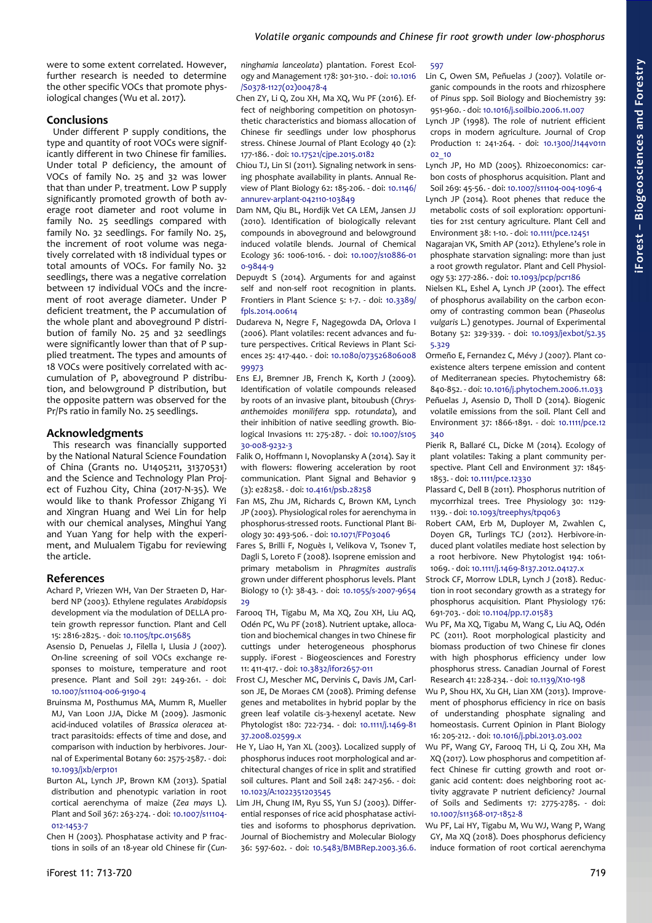were to some extent correlated. However, further research is needed to determine the other specific VOCs that promote physiological changes (Wu et al. 2017).

## **Conclusions**

Under different P supply conditions, the type and quantity of root VOCs were significantly different in two Chinese fir families. Under total P deficiency, the amount of VOCs of family No. 25 and 32 was lower that than under P<sub>1</sub> treatment. Low P supply significantly promoted growth of both average root diameter and root volume in family No. 25 seedlings compared with family No. 32 seedlings. For family No. 25, the increment of root volume was negatively correlated with 18 individual types or total amounts of VOCs. For family No. 32 seedlings, there was a negative correlation between 17 individual VOCs and the increment of root average diameter. Under P deficient treatment, the P accumulation of the whole plant and aboveground P distribution of family No. 25 and 32 seedlings were significantly lower than that of P supplied treatment. The types and amounts of 18 VOCs were positively correlated with accumulation of P, aboveground P distribution, and belowground P distribution, but the opposite pattern was observed for the Pr/Ps ratio in family No. 25 seedlings.

# **Acknowledgments**

This research was financially supported by the National Natural Science Foundation of China (Grants no. U1405211, 31370531) and the Science and Technology Plan Project of Fuzhou City, China (2017-N-35). We would like to thank Professor Zhigang Yi and Xingran Huang and Wei Lin for help with our chemical analyses, Minghui Yang and Yuan Yang for help with the experiment, and Mulualem Tigabu for reviewing the article.

## **References**

- Achard P, Vriezen WH, Van Der Straeten D, Harberd NP (2003). Ethylene regulates *Arabidopsis* development via the modulation of DELLA protein growth repressor function. Plant and Cell 15: 2816-2825. - doi: [10.1105/tpc.015685](https://doi.org/10.1105/tpc.015685)
- Asensio D, Penuelas J, Filella I, Llusia J (2007). On-line screening of soil VOCs exchange responses to moisture, temperature and root presence. Plant and Soil 291: 249-261. - doi: [10.1007/s11104-006-9190-4](https://doi.org/10.1007/s11104-006-9190-4)
- Bruinsma M, Posthumus MA, Mumm R, Mueller MJ, Van Loon JJA, Dicke M (2009). Jasmonic acid-induced volatiles of *Brassica oleracea* attract parasitoids: effects of time and dose, and comparison with induction by herbivores. Journal of Experimental Botany 60: 2575-2587. - doi: [10.1093/jxb/erp101](https://doi.org/10.1093/jxb/erp101)
- Burton AL, Lynch JP, Brown KM (2013). Spatial distribution and phenotypic variation in root cortical aerenchyma of maize (*Zea mays* L). Plant and Soil 367: 263-274. - doi: [10.1007/s11104-](https://doi.org/10.1007/s11104-012-1453-7) [012-1453-7](https://doi.org/10.1007/s11104-012-1453-7)

Chen H (2003). Phosphatase activity and P fractions in soils of an 18-year old Chinese fir (*Cun-* *ninghamia lanceolata*) plantation. Forest Ecology and Management 178: 301-310. - doi: [10.1016](https://doi.org/10.1016/S0378-1127(02)00478-4) [/S0378-1127\(02\)00478-4](https://doi.org/10.1016/S0378-1127(02)00478-4)

- Chen ZY, Li Q, Zou XH, Ma XQ, Wu PF (2016). Effect of neighboring competition on photosynthetic characteristics and biomass allocation of Chinese fir seedlings under low phosphorus stress. Chinese Journal of Plant Ecology 40 (2): 177-186. - doi: [10.17521/cjpe.2015.0182](https://doi.org/10.17521/cjpe.2015.0182)
- Chiou TJ, Lin SI (2011). Signaling network in sensing phosphate availability in plants. Annual Review of Plant Biology 62: 185-206. - doi: [10.1146/](https://doi.org/10.1146/annurev-arplant-042110-103849) [annurev-arplant-042110-103849](https://doi.org/10.1146/annurev-arplant-042110-103849)
- Dam NM, Qiu BL, Hordijk Vet CA LEM, Jansen JJ (2010). Identification of biologically relevant compounds in aboveground and belowground induced volatile blends. Journal of Chemical Ecology 36: 1006-1016. - doi: [10.1007/s10886-01](https://doi.org/10.1007/s10886-010-9844-9) [0-9844-9](https://doi.org/10.1007/s10886-010-9844-9)
- Depuydt S (2014). Arguments for and against self and non-self root recognition in plants. Frontiers in Plant Science 5: 1-7. - doi: [10.3389/](https://doi.org/10.3389/fpls.2014.00614) [fpls.2014.00614](https://doi.org/10.3389/fpls.2014.00614)
- Dudareva N, Negre F, Nagegowda DA, Orlova I (2006). Plant volatiles: recent advances and future perspectives. Critical Reviews in Plant Sciences 25: 417-440. - doi: [10.1080/073526806008](https://doi.org/10.1080/07352680600899973) [99973](https://doi.org/10.1080/07352680600899973)
- Ens EJ, Bremner JB, French K, Korth J (2009). Identification of volatile compounds released by roots of an invasive plant, bitoubush (*Chrysanthemoides monilifera* spp. *rotundata*), and their inhibition of native seedling growth. Biological Invasions 11: 275-287. - doi: [10.1007/s105](https://doi.org/10.1007/s10530-008-9232-3) [30-008-9232-3](https://doi.org/10.1007/s10530-008-9232-3)

Falik O, Hoffmann I, Novoplansky A (2014). Say it with flowers: flowering acceleration by root communication. Plant Signal and Behavior 9 (3): e28258. - doi: [10.4161/psb.28258](https://doi.org/10.4161/psb.28258)

- Fan MS, Zhu JM, Richards C, Brown KM, Lynch JP (2003). Physiological roles for aerenchyma in phosphorus-stressed roots. Functional Plant Biology 30: 493-506. - doi: [10.1071/FP03046](https://doi.org/10.1071/FP03046)
- Fares S, Brilli F, Noguès I, Velikova V, Tsonev T, Dagli S, Loreto F (2008). Isoprene emission and primary metabolism in *Phragmites australis* grown under different phosphorus levels. Plant Biology 10 (1): 38-43. - doi: [10.1055/s-2007-9654](https://doi.org/10.1055/s-2007-965429) [29](https://doi.org/10.1055/s-2007-965429)
- Farooq TH, Tigabu M, Ma XQ, Zou XH, Liu AQ, Odén PC, Wu PF (2018). Nutrient uptake, allocation and biochemical changes in two Chinese fir cuttings under heterogeneous phosphorus supply. iForest - Biogeosciences and Forestry 11: 411-417. - doi: [10.3832/ifor2657-011](https://doi.org/10.3832/ifor2657-011)
- Frost CJ, Mescher MC, Dervinis C, Davis JM, Carlson JE, De Moraes CM (2008). Priming defense genes and metabolites in hybrid poplar by the green leaf volatile cis-3-hexenyl acetate. New Phytologist 180: 722-734. - doi: [10.1111/j.1469-81](https://doi.org/10.1111/j.1469-8137.2008.02599.x) [37.2008.02599.x](https://doi.org/10.1111/j.1469-8137.2008.02599.x)
- He Y, Liao H, Yan XL (2003). Localized supply of phosphorus induces root morphological and architectural changes of rice in split and stratified soil cultures. Plant and Soil 248: 247-256. - doi: [10.1023/A:1022351203545](https://doi.org/10.1023/A:1022351203545)
- Lim JH, Chung IM, Ryu SS, Yun SJ (2003). Differential responses of rice acid phosphatase activities and isoforms to phosphorus deprivation. Journal of Biochemistry and Molecular Biology 36: 597-602. - doi: [10.5483/BMBRep.2003.36.6.](https://doi.org/10.5483/BMBRep.2003.36.6.597)
- [597](https://doi.org/10.5483/BMBRep.2003.36.6.597)
- Lin C, Owen SM, Peñuelas J (2007). Volatile organic compounds in the roots and rhizosphere of *Pinus* spp. Soil Biology and Biochemistry 39: 951-960. - doi: [10.1016/j.soilbio.2006.11.007](https://doi.org/10.1016/j.soilbio.2006.11.007)
- Lynch JP (1998). The role of nutrient efficient crops in modern agriculture. Journal of Crop Production 1: 241-264. - doi: [10.1300/J144v01n](https://doi.org/10.1300/J144v01n02_10) [02\\_10](https://doi.org/10.1300/J144v01n02_10)
- Lynch JP, Ho MD (2005). Rhizoeconomics: carbon costs of phosphorus acquisition. Plant and Soil 269: 45-56. - doi: [10.1007/s11104-004-1096-4](https://doi.org/10.1007/s11104-004-1096-4)
- Lynch JP (2014). Root phenes that reduce the metabolic costs of soil exploration: opportunities for 21st century agriculture. Plant Cell and Environment 38: 1-10. - doi: [10.1111/pce.12451](https://doi.org/10.1111/pce.12451)
- Nagarajan VK, Smith AP (2012). Ethylene's role in phosphate starvation signaling: more than just a root growth regulator. Plant and Cell Physiology 53: 277-286. - doi: [10.1093/pcp/pcr186](https://doi.org/10.1093/pcp/pcr186)
- Nielsen KL, Eshel A, Lynch JP (2001). The effect of phosphorus availability on the carbon economy of contrasting common bean (*Phaseolus vulgaris* L.) genotypes. Journal of Experimental Botany 52: 329-339. - doi: [10.1093/jexbot/52.35](https://doi.org/10.1093/jexbot/52.355.329) [5.329](https://doi.org/10.1093/jexbot/52.355.329)
- Ormeño E, Fernandez C, Mévy J (2007). Plant coexistence alters terpene emission and content of Mediterranean species. Phytochemistry 68: 840-852. - doi: [10.1016/j.phytochem.2006.11.033](https://doi.org/10.1016/j.phytochem.2006.11.033)
- Peñuelas J, Asensio D, Tholl D (2014). Biogenic volatile emissions from the soil. Plant Cell and Environment 37: 1866-1891. - doi: [10.1111/pce.12](https://doi.org/10.1111/pce.12340) [340](https://doi.org/10.1111/pce.12340)
- Pierik R, Ballaré CL, Dicke M (2014). Ecology of plant volatiles: Taking a plant community perspective. Plant Cell and Environment 37: 1845- 1853. - doi: [10.1111/pce.12330](https://doi.org/10.1111/pce.12330)
- Plassard C, Dell B (2011). Phosphorus nutrition of mycorrhizal trees. Tree Physiology 30: 1129- 1139. - doi: [10.1093/treephys/tpq063](https://doi.org/10.1093/treephys/tpq063)
- Robert CAM, Erb M, Duployer M, Zwahlen C, Doyen GR, Turlings TCJ (2012). Herbivore-induced plant volatiles mediate host selection by a root herbivore. New Phytologist 194: 1061- 1069. - doi: [10.1111/j.1469-8137.2012.04127.x](https://doi.org/10.1111/j.1469-8137.2012.04127.x)
- Strock CF, Morrow LDLR, Lynch J (2018). Reduction in root secondary growth as a strategy for phosphorus acquisition. Plant Physiology 176: 691-703. - doi: [10.1104/pp.17.01583](https://doi.org/10.1104/pp.17.01583)
- Wu PF, Ma XQ, Tigabu M, Wang C, Liu AQ, Odén PC (2011). Root morphological plasticity and biomass production of two Chinese fir clones with high phosphorus efficiency under low phosphorus stress. Canadian Journal of Forest Research 41: 228-234. - doi: [10.1139/X10-198](https://doi.org/10.1139/X10-198)
- Wu P, Shou HX, Xu GH, Lian XM (2013). Improvement of phosphorus efficiency in rice on basis of understanding phosphate signaling and homeostasis. Current Opinion in Plant Biology 16: 205-212. - doi: [10.1016/j.pbi.2013.03.002](https://doi.org/10.1016/j.pbi.2013.03.002)
- Wu PF, Wang GY, Farooq TH, Li Q, Zou XH, Ma XQ (2017). Low phosphorus and competition affect Chinese fir cutting growth and root organic acid content: does neighboring root activity aggravate P nutrient deficiency? Journal of Soils and Sediments 17: 2775-2785. - doi: [10.1007/s11368-017-1852-8](https://doi.org/10.1007/s11368-017-1852-8)

Wu PF, Lai HY, Tigabu M, Wu WJ, Wang P, Wang GY, Ma XQ (2018). Does phosphorus deficiency induce formation of root cortical aerenchyma